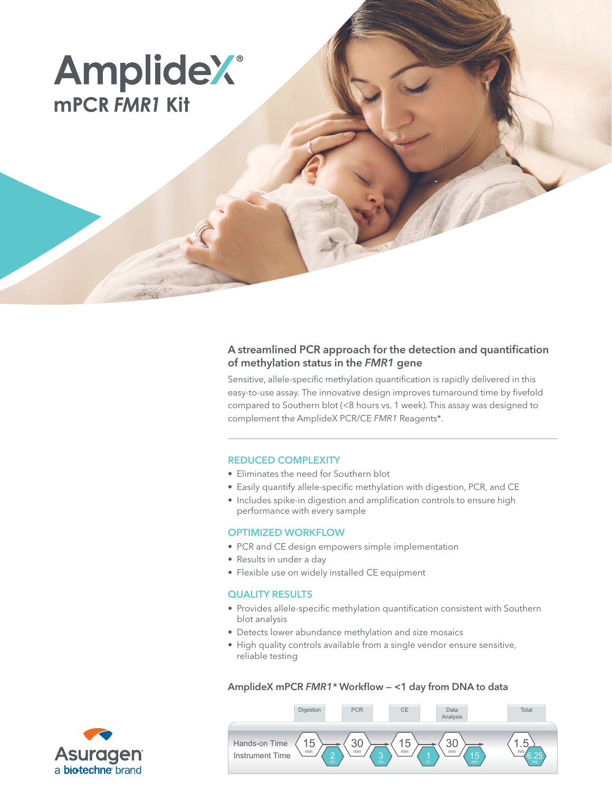# **AmplideX® MPCR FMR1 Kit**

# A streamlined PCR approach for the detection and quantification of methylation status in the *FMR1* gene

Sensitive, allele-specific methylation quantification is rapidly delivered in this easy-to-use assay. The innovative design improves turnaround time by fivefold compared to Southern blot (<8 hours vs. 1 week). This assay was designed to complement the AmplideX PCR/CE *FMR1* Reagents\*.

## REDUCED COMPLEXITY

- Eliminates the need for Southern blot
- Easily quantify allele-specific methylation with digestion, PCR, and CE
- Includes spike-in digestion and amplification controls to ensure high performance with every sample

## OPTIMIZED WORKFLOW

- PCR and CE design empowers simple implementation
- Results in under a day
- Flexible use on widely installed CE equipment

#### QUALITY RESULTS

- Provides allele-specific methylation quantification consistent with Southern blot analysis
- Detects lower abundance methylation and size mosaics
- High quality controls available from a single vendor ensure sensitive, reliable testing

AmplideX mPCR *FMR1\** Workflow — <1 day from DNA to data